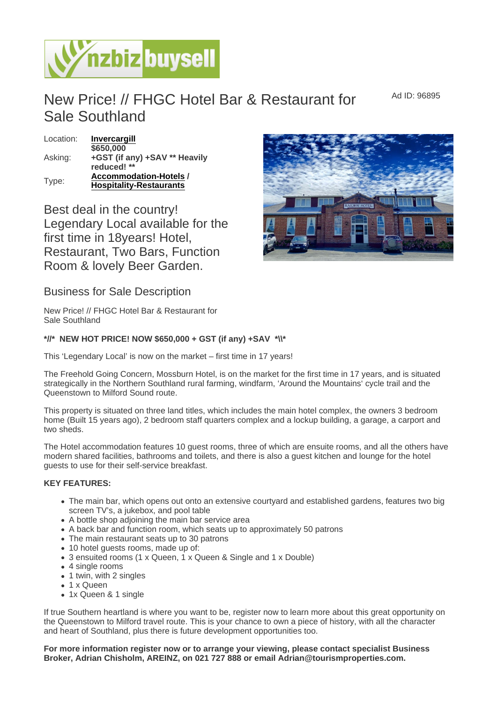Ad ID: 96895

## New Price! // FHGC Hotel Bar & Restaurant for Sale Southland

Location: [Invercargill](https://www.nzbizbuysell.co.nz/businesses-for-sale/location/Invercargill) Asking: \$650,000 +GST (if any) +SAV \*\* Heavily reduced! \*\* Type: [Accommodation-Hotels](https://www.nzbizbuysell.co.nz/businesses-for-sale/Hotels/New-Zealand) / Hospitality-Restaurants

Best deal in the country! Legendary Local available for the first time in 18years! Hotel, Restaurant, Two Bars, Function Room & lovely Beer Garden.

Business for Sale Description

New Price! // FHGC Hotel Bar & Restaurant for Sale Southland

\*//\* NEW HOT PRICE! NOW \$650,000 + GST (if any) +SAV \*\\\*

This 'Legendary Local' is now on the market – first time in 17 years!

The Freehold Going Concern, Mossburn Hotel, is on the market for the first time in 17 years, and is situated strategically in the Northern Southland rural farming, windfarm, 'Around the Mountains' cycle trail and the Queenstown to Milford Sound route.

This property is situated on three land titles, which includes the main hotel complex, the owners 3 bedroom home (Built 15 years ago), 2 bedroom staff quarters complex and a lockup building, a garage, a carport and two sheds.

The Hotel accommodation features 10 guest rooms, three of which are ensuite rooms, and all the others have modern shared facilities, bathrooms and toilets, and there is also a guest kitchen and lounge for the hotel guests to use for their self-service breakfast.

## KEY FEATURES:

- The main bar, which opens out onto an extensive courtyard and established gardens, features two big screen TV's, a jukebox, and pool table
- A bottle shop adjoining the main bar service area
- A back bar and function room, which seats up to approximately 50 patrons
- The main restaurant seats up to 30 patrons
- 10 hotel guests rooms, made up of:
- 3 ensuited rooms (1 x Queen, 1 x Queen & Single and 1 x Double)
- 4 single rooms
- 1 twin, with 2 singles
- 1 x Queen
- 1x Queen & 1 single

If true Southern heartland is where you want to be, register now to learn more about this great opportunity on the Queenstown to Milford travel route. This is your chance to own a piece of history, with all the character and heart of Southland, plus there is future development opportunities too.

For more information register now or to arrange your viewing, please contact specialist Business Broker, Adrian Chisholm, AREINZ, on 021 727 888 or email Adrian@tourismproperties.com.